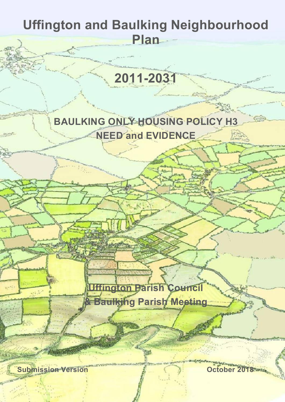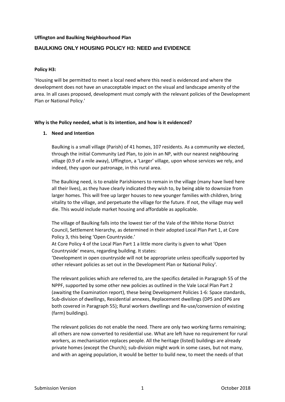### **Uffington and Baulking Neighbourhood Plan**

# **BAULKING ONLY HOUSING POLICY H3: NEED and EVIDENCE**

### **Policy H3:**

'Housing will be permitted to meet a local need where this need is evidenced and where the development does not have an unacceptable impact on the visual and landscape amenity of the area. In all cases proposed, development must comply with the relevant policies of the Development Plan or National Policy.'

#### **Why is the Policy needed, what is its intention, and how is it evidenced?**

### **1. Need and Intention**

Baulking is a small village (Parish) of 41 homes, 107 residents. As a community we elected, through the initial Community Led Plan, to join in an NP, with our nearest neighbouring village (0.9 of a mile away), Uffington, a 'Larger' village, upon whose services we rely, and indeed, they upon our patronage, in this rural area.

The Baulking need, is to enable Parishioners to remain in the village (many have lived here all their lives), as they have clearly indicated they wish to, by being able to downsize from larger homes. This will free up larger houses to new younger families with children, bring vitality to the village, and perpetuate the village for the future. If not, the village may well die. This would include market housing and affordable as applicable.

The village of Baulking falls into the lowest tier of the Vale of the White Horse District Council, Settlement hierarchy, as determined in their adopted Local Plan Part 1, at Core Policy 3, this being 'Open Countryside.'

At Core Policy 4 of the Local Plan Part 1 a little more clarity is given to what 'Open Countryside' means, regarding building. It states:

'Development in open countryside will not be appropriate unless specifically supported by other relevant policies as set out in the Development Plan or National Policy'.

The relevant policies which are referred to, are the specifics detailed in Paragraph 55 of the NPPF, supported by some other new policies as outlined in the Vale Local Plan Part 2 (awaiting the Examination report), these being Development Policies 1-6: Space standards, Sub-division of dwellings, Residential annexes, Replacement dwellings (DP5 and DP6 are both covered in Paragraph 55); Rural workers dwellings and Re-use/conversion of existing (farm) buildings).

The relevant policies do not enable the need. There are only two working farms remaining; all others are now converted to residential use. What are left have no requirement for rural workers, as mechanisation replaces people. All the heritage (listed) buildings are already private homes (except the Church); sub-division might work in some cases, but not many, and with an ageing population, it would be better to build new, to meet the needs of that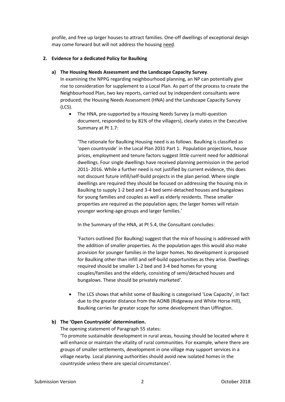profile, and free up larger houses to attract families. One-off dwellings of exceptional design may come forward but will not address the housing need.

### **2. Evidence for a dedicated Policy for Baulking**

### **a) The Housing Needs Assessment and the Landscape Capacity Survey**.

In examining the NPPG regarding neighbourhood planning, an NP can potentially give rise to consideration for supplement to a Local Plan. As part of the process to create the Neighbourhood Plan, two key reports, carried out by independent consultants were produced; the Housing Needs Assessment (HNA) and the Landscape Capacity Survey (LCS).

 The HNA, pre-supported by a Housing Needs Survey (a multi-question document, responded to by 81% of the villagers), clearly states in the Executive Summary at Pt 1.7:

'The rationale for Baulking Housing need is as follows. Baulking is classified as 'open countryside' in the Local Plan 2031 Part 1. Population projections, house prices, employment and tenure factors suggest little current need for additional dwellings. Four single dwellings have received planning permission in the period 2011- 2016. While a further need is not justified by current evidence, this does not discount future infill/self-build projects in the plan period. Where single dwellings are required they should be focused on addressing the housing mix in Baulking to supply 1-2 bed and 3-4 bed semi-detached houses and bungalows for young families and couples as well as elderly residents. These smaller properties are required as the population ages; the larger homes will retain younger working-age groups and larger families.'

In the Summary of the HNA, at Pt 5.4, the Consultant concludes:

'Factors outlined {for Baulking} suggest that the mix of housing is addressed with the addition of smaller properties. As the population ages this would also make provision for younger families in the larger homes. No development is proposed for Baulking other than infill and self-build opportunities as they arise. Dwellings required should be smaller 1-2 bed and 3-4 bed homes for young couples/families and the elderly, consisting of semi/detached houses and bungalows. These should be privately marketed'.

• The LCS shows that whilst some of Baulking is categorised 'Low Capacity', in fact due to the greater distance from the AONB (Ridgeway and White Horse Hill), Baulking carries far greater scope for some development than Uffington.

# **b) The 'Open Countryside' determination.**

The opening statement of Paragraph 55 states:

'To promote sustainable development in rural areas, housing should be located where it will enhance or maintain the vitality of rural communities. For example, where there are groups of smaller settlements, development in one village may support services in a village nearby. Local planning authorities should avoid new isolated homes in the countryside unless there are special circumstances'.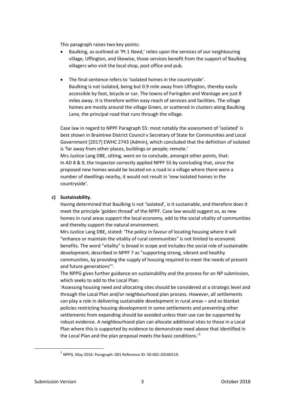This paragraph raises two key points:

- Baulking, as outlined at 'Pt 1 Need,' relies upon the services of our neighbouring village, Uffington, and likewise, those services benefit from the support of Baulking villagers who visit the local shop, post office and pub.
- The final sentence refers to 'isolated homes in the countryside'. Baulking is not isolated, being but 0.9 mile away from Uffington, thereby easily accessible by foot, bicycle or car. The towns of Faringdon and Wantage are just 8 miles away. It is therefore within easy reach of services and facilities. The village homes are mostly around the village Green, or scattered in clusters along Baulking Lane, the principal road that runs through the village.

Case law in regard to NPPF Paragraph 55: most notably the assessment of 'isolated' is best shown in Braintree District Council v Secretary of State for Communities and Local Government [2017] EWHC 2743 (Admin), which concluded that the definition of isolated is 'far away from other places, buildings or people; remote.' Mrs Justice Lang DBE, sitting, went on to conclude, amongst other points, that: In AD 8 & 9, the Inspector correctly applied NPPF 55 by concluding that, since the proposed new homes would be located on a road in a village where there were a number of dwellings nearby, it would not result in 'new isolated homes in the countryside'.

#### **c) Sustainability.**

Having determined that Baulking is not 'isolated', is it sustainable, and therefore does it meet the principle 'golden thread' of the NPPF. Case law would suggest so, as new homes in rural areas support the local economy, add to the social vitality of communities and thereby support the natural environment.

Mrs Justice Lang DBE, stated: 'The policy in favour of locating housing where it will "enhance or maintain the vitality of rural communities" is not limited to economic benefits. The word "vitality" is broad in scope and includes the social role of sustainable development, described in NPPF 7 as "supporting strong, vibrant and healthy communities, by providing the supply of housing required to meet the needs of present and future generations"'.

The NPPG gives further guidance on sustainability and the process for an NP submission, which seeks to add to the Local Plan:

'Assessing housing need and allocating sites should be considered at a strategic level and through the Local Plan and/or neighbourhood plan process. However, all settlements can play a role in delivering sustainable development in rural areas – and so blanket policies restricting housing development in some settlements and preventing other settlements from expanding should be avoided unless their use can be supported by robust evidence. A neighbourhood plan can allocate additional sites to those in a Local Plan where this is supported by evidence to demonstrate need above that identified in the Local Plan and the plan proposal meets the basic conditions.<sup>1</sup>

1

 $^{1}$  NPPG, May 2016: Paragraph: 001 Reference ID: 50-001-20160519.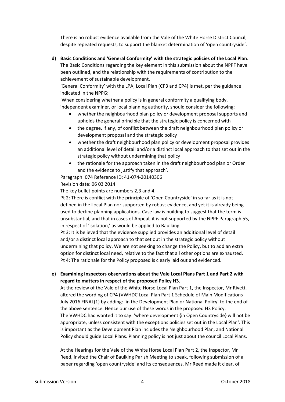There is no robust evidence available from the Vale of the White Horse District Council, despite repeated requests, to support the blanket determination of 'open countryside'.

**d) Basic Conditions and 'General Conformity' with the strategic policies of the Local Plan.** The Basic Conditions regarding the key element in this submission about the NPPF have been outlined, and the relationship with the requirements of contribution to the achievement of sustainable development.

'General Conformity' with the LPA, Local Plan (CP3 and CP4) is met, per the guidance indicated in the NPPG:

'When considering whether a policy is in general conformity a qualifying body, independent examiner, or local planning authority, should consider the following:

- whether the neighbourhood plan policy or development proposal supports and upholds the general principle that the strategic policy is concerned with
- the degree, if any, of conflict between the draft neighbourhood plan policy or development proposal and the strategic policy
- whether the draft neighbourhood plan policy or development proposal provides an additional level of detail and/or a distinct local approach to that set out in the strategic policy without undermining that policy
- the rationale for the approach taken in the draft neighbourhood plan or Order and the evidence to justify that approach'.

Paragraph: 074 Reference ID: 41-074-20140306 Revision date: 06 03 2014

The key bullet points are numbers 2,3 and 4.

Pt 2: There is conflict with the principle of 'Open Countryside' in so far as it is not defined in the Local Plan nor supported by robust evidence, and yet it is already being used to decline planning applications. Case law is building to suggest that the term is unsubstantial, and that in cases of Appeal, it is not supported by the NPPF Paragraph 55, in respect of 'isolation,' as would be applied to Baulking.

Pt 3: It is believed that the evidence supplied provides an additional level of detail and/or a distinct local approach to that set out in the strategic policy without undermining that policy. We are not seeking to change the Policy, but to add an extra option for distinct local need, relative to the fact that all other options are exhausted. Pt 4: The rationale for the Policy proposed is clearly laid out and evidenced.

# **e) Examining Inspectors observations about the Vale Local Plans Part 1 and Part 2 with regard to matters in respect of the proposed Policy H3.**

At the review of the Vale of the White Horse Local Plan Part 1, the Inspector, Mr Rivett, altered the wording of CP4 (VWHDC Local Plan Part 1 Schedule of Main Modifications July 2016 FINAL(1) by adding: 'in the Development Plan or National Policy' to the end of the above sentence. Hence our use of these words in the proposed H3 Policy. The VWHDC had wanted it to say: 'where development {in Open Countryside} will not be appropriate, unless consistent with the exceptions policies set out in the Local Plan'. This is important as the Development Plan includes the Neighbourhood Plan, and National Policy should guide Local Plans. Planning policy is not just about the council Local Plans.

At the Hearings for the Vale of the White Horse Local Plan Part 2, the Inspector, Mr Reed, invited the Chair of Baulking Parish Meeting to speak, following submission of a paper regarding 'open countryside' and its consequences. Mr Reed made it clear, of